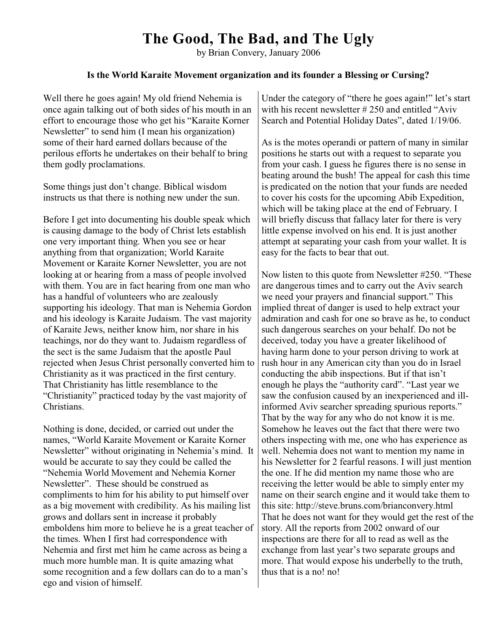## **The Good, The Bad, and The Ugly**

by Brian Convery, January 2006

## **Is the World Karaite Movement organization and its founder a Blessing or Cursing?**

Well there he goes again! My old friend Nehemia is once again talking out of both sides of his mouth in an effort to encourage those who get his "Karaite Korner Newsletter" to send him (I mean his organization) some of their hard earned dollars because of the perilous efforts he undertakes on their behalf to bring them godly proclamations.

Some things just don't change. Biblical wisdom instructs us that there is nothing new under the sun.

Before I get into documenting his double speak which is causing damage to the body of Christ lets establish one very important thing. When you see or hear anything from that organization; World Karaite Movement or Karaite Korner Newsletter, you are not looking at or hearing from a mass of people involved with them. You are in fact hearing from one man who has a handful of volunteers who are zealously supporting his ideology. That man is Nehemia Gordon and his ideology is Karaite Judaism. The vast majority of Karaite Jews, neither know him, nor share in his teachings, nor do they want to. Judaism regardless of the sect is the same Judaism that the apostle Paul rejected when Jesus Christ personally converted him to Christianity as it was practiced in the first century. That Christianity has little resemblance to the "Christianity" practiced today by the vast majority of Christians.

Nothing is done, decided, or carried out under the names, "World Karaite Movement or Karaite Korner Newsletter" without originating in Nehemia's mind. It would be accurate to say they could be called the "Nehemia World Movement and Nehemia Korner Newsletter". These should be construed as compliments to him for his ability to put himself over as a big movement with credibility. As his mailing list grows and dollars sent in increase it probably emboldens him more to believe he is a great teacher of the times. When I first had correspondence with Nehemia and first met him he came across as being a much more humble man. It is quite amazing what some recognition and a few dollars can do to a man's ego and vision of himself.

Under the category of "there he goes again!" let's start with his recent newsletter #250 and entitled "Aviv" Search and Potential Holiday Dates", dated 1/19/06.

As is the motes operandi or pattern of many in similar positions he starts out with a request to separate you from your cash. I guess he figures there is no sense in beating around the bush! The appeal for cash this time is predicated on the notion that your funds are needed to cover his costs for the upcoming Abib Expedition, which will be taking place at the end of February. I will briefly discuss that fallacy later for there is very little expense involved on his end. It is just another attempt at separating your cash from your wallet. It is easy for the facts to bear that out.

Now listen to this quote from Newsletter #250. "These are dangerous times and to carry out the Aviv search we need your prayers and financial support." This implied threat of danger is used to help extract your admiration and cash for one so brave as he, to conduct such dangerous searches on your behalf. Do not be deceived, today you have a greater likelihood of having harm done to your person driving to work at rush hour in any American city than you do in Israel conducting the abib inspections. But if that isn't enough he plays the "authority card". "Last year we saw the confusion caused by an inexperienced and illinformed Aviv searcher spreading spurious reports." That by the way for any who do not know it is me. Somehow he leaves out the fact that there were two others inspecting with me, one who has experience as well. Nehemia does not want to mention my name in his Newsletter for 2 fearful reasons. I will just mention the one. If he did mention my name those who are receiving the letter would be able to simply enter my name on their search engine and it would take them to this site: http://steve.bruns.com/brianconvery.html That he does not want for they would get the rest of the story. All the reports from 2002 onward of our inspections are there for all to read as well as the exchange from last year's two separate groups and more. That would expose his underbelly to the truth, thus that is a no! no!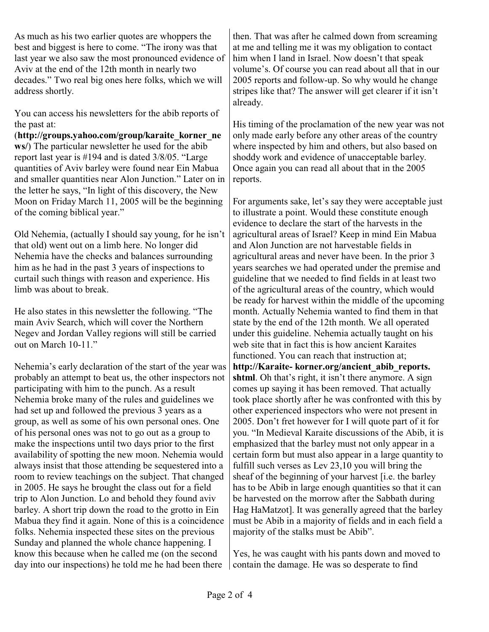As much as his two earlier quotes are whoppers the best and biggest is here to come. "The irony was that last year we also saw the most pronounced evidence of Aviv at the end of the 12th month in nearly two decades." Two real big ones here folks, which we will address shortly.

You can access his newsletters for the abib reports of the past at:

(**http://groups.yahoo.com/group/karaite\_korner\_ne ws/**) The particular newsletter he used for the abib report last year is #194 and is dated 3/8/05. "Large quantities of Aviv barley were found near Ein Mabua and smaller quantities near Alon Junction." Later on in the letter he says, "In light of this discovery, the New Moon on Friday March 11, 2005 will be the beginning of the coming biblical year."

Old Nehemia, (actually I should say young, for he isn't that old) went out on a limb here. No longer did Nehemia have the checks and balances surrounding him as he had in the past 3 years of inspections to curtail such things with reason and experience. His limb was about to break.

He also states in this newsletter the following. "The main Aviv Search, which will cover the Northern Negev and Jordan Valley regions will still be carried out on March 10-11."

Nehemia's early declaration of the start of the year was probably an attempt to beat us, the other inspectors not participating with him to the punch. As a result Nehemia broke many of the rules and guidelines we had set up and followed the previous 3 years as a group, as well as some of his own personal ones. One of his personal ones was not to go out as a group to make the inspections until two days prior to the first availability of spotting the new moon. Nehemia would always insist that those attending be sequestered into a room to review teachings on the subject. That changed in 2005. He says he brought the class out for a field trip to Alon Junction. Lo and behold they found aviv barley. A short trip down the road to the grotto in Ein Mabua they find it again. None of this is a coincidence folks. Nehemia inspected these sites on the previous Sunday and planned the whole chance happening. I know this because when he called me (on the second day into our inspections) he told me he had been there

then. That was after he calmed down from screaming at me and telling me it was my obligation to contact him when I land in Israel. Now doesn't that speak volume's. Of course you can read about all that in our 2005 reports and follow-up. So why would he change stripes like that? The answer will get clearer if it isn't already.

His timing of the proclamation of the new year was not only made early before any other areas of the country where inspected by him and others, but also based on shoddy work and evidence of unacceptable barley. Once again you can read all about that in the 2005 reports.

For arguments sake, let's say they were acceptable just to illustrate a point. Would these constitute enough evidence to declare the start of the harvests in the agricultural areas of Israel? Keep in mind Ein Mabua and Alon Junction are not harvestable fields in agricultural areas and never have been. In the prior 3 years searches we had operated under the premise and guideline that we needed to find fields in at least two of the agricultural areas of the country, which would be ready for harvest within the middle of the upcoming month. Actually Nehemia wanted to find them in that state by the end of the 12th month. We all operated under this guideline. Nehemia actually taught on his web site that in fact this is how ancient Karaites functioned. You can reach that instruction at; **http://Karaite- korner.org/ancient\_abib\_reports. shtml**. Oh that's right, it isn't there anymore. A sign comes up saying it has been removed. That actually took place shortly after he was confronted with this by other experienced inspectors who were not present in 2005. Don't fret however for I will quote part of it for you. "In Medieval Karaite discussions of the Abib, it is emphasized that the barley must not only appear in a certain form but must also appear in a large quantity to fulfill such verses as Lev 23,10 you will bring the sheaf of the beginning of your harvest [i.e. the barley has to be Abib in large enough quantities so that it can be harvested on the morrow after the Sabbath during Hag HaMatzot]. It was generally agreed that the barley must be Abib in a majority of fields and in each field a majority of the stalks must be Abib".

Yes, he was caught with his pants down and moved to contain the damage. He was so desperate to find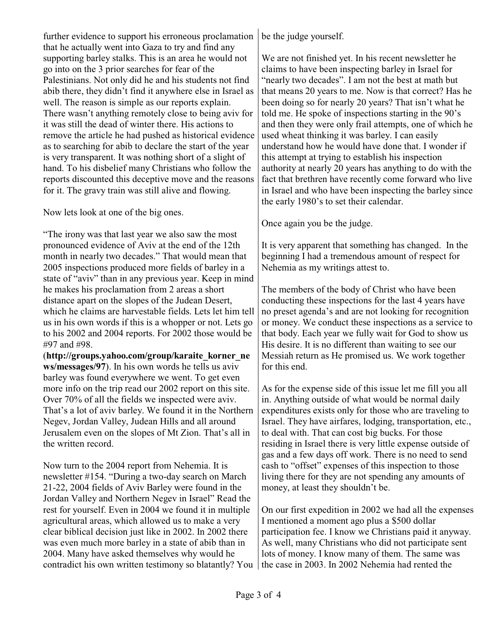further evidence to support his erroneous proclamation that he actually went into Gaza to try and find any supporting barley stalks. This is an area he would not go into on the 3 prior searches for fear of the Palestinians. Not only did he and his students not find abib there, they didn't find it anywhere else in Israel as well. The reason is simple as our reports explain. There wasn't anything remotely close to being aviv for it was still the dead of winter there. His actions to remove the article he had pushed as historical evidence as to searching for abib to declare the start of the year is very transparent. It was nothing short of a slight of hand. To his disbelief many Christians who follow the reports discounted this deceptive move and the reasons for it. The gravy train was still alive and flowing.

Now lets look at one of the big ones.

"The irony was that last year we also saw the most pronounced evidence of Aviv at the end of the 12th month in nearly two decades." That would mean that 2005 inspections produced more fields of barley in a state of "aviv" than in any previous year. Keep in mind he makes his proclamation from 2 areas a short distance apart on the slopes of the Judean Desert, which he claims are harvestable fields. Lets let him tell us in his own words if this is a whopper or not. Lets go to his 2002 and 2004 reports. For 2002 those would be #97 and #98.

(**http://groups.yahoo.com/group/karaite\_korner\_ne ws/messages/97**). In his own words he tells us aviv barley was found everywhere we went. To get even more info on the trip read our 2002 report on this site. Over 70% of all the fields we inspected were aviv. That's a lot of aviv barley. We found it in the Northern Negev, Jordan Valley, Judean Hills and all around Jerusalem even on the slopes of Mt Zion. That's all in the written record.

Now turn to the 2004 report from Nehemia. It is newsletter #154. "During a two-day search on March 21-22, 2004 fields of Aviv Barley were found in the Jordan Valley and Northern Negev in Israel" Read the rest for yourself. Even in 2004 we found it in multiple agricultural areas, which allowed us to make a very clear biblical decision just like in 2002. In 2002 there was even much more barley in a state of abib than in 2004. Many have asked themselves why would he contradict his own written testimony so blatantly? You | the case in 2003. In 2002 Nehemia had rented the

be the judge yourself.

We are not finished yet. In his recent newsletter he claims to have been inspecting barley in Israel for "nearly two decades". I am not the best at math but that means 20 years to me. Now is that correct? Has he been doing so for nearly 20 years? That isn't what he told me. He spoke of inspections starting in the 90's and then they were only frail attempts, one of which he used wheat thinking it was barley. I can easily understand how he would have done that. I wonder if this attempt at trying to establish his inspection authority at nearly 20 years has anything to do with the fact that brethren have recently come forward who live in Israel and who have been inspecting the barley since the early 1980's to set their calendar.

Once again you be the judge.

It is very apparent that something has changed. In the beginning I had a tremendous amount of respect for Nehemia as my writings attest to.

The members of the body of Christ who have been conducting these inspections for the last 4 years have no preset agenda's and are not looking for recognition or money. We conduct these inspections as a service to that body. Each year we fully wait for God to show us His desire. It is no different than waiting to see our Messiah return as He promised us. We work together for this end.

As for the expense side of this issue let me fill you all in. Anything outside of what would be normal daily expenditures exists only for those who are traveling to Israel. They have airfares, lodging, transportation, etc., to deal with. That can cost big bucks. For those residing in Israel there is very little expense outside of gas and a few days off work. There is no need to send cash to "offset" expenses of this inspection to those living there for they are not spending any amounts of money, at least they shouldn't be.

On our first expedition in 2002 we had all the expenses I mentioned a moment ago plus a \$500 dollar participation fee. I know we Christians paid it anyway. As well, many Christians who did not participate sent lots of money. I know many of them. The same was